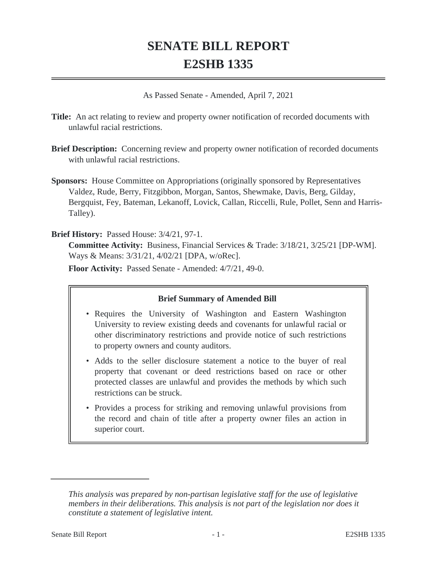# **SENATE BILL REPORT E2SHB 1335**

As Passed Senate - Amended, April 7, 2021

**Title:** An act relating to review and property owner notification of recorded documents with unlawful racial restrictions.

- **Brief Description:** Concerning review and property owner notification of recorded documents with unlawful racial restrictions.
- **Sponsors:** House Committee on Appropriations (originally sponsored by Representatives Valdez, Rude, Berry, Fitzgibbon, Morgan, Santos, Shewmake, Davis, Berg, Gilday, Bergquist, Fey, Bateman, Lekanoff, Lovick, Callan, Riccelli, Rule, Pollet, Senn and Harris-Talley).

### **Brief History:** Passed House: 3/4/21, 97-1.

**Committee Activity:** Business, Financial Services & Trade: 3/18/21, 3/25/21 [DP-WM]. Ways & Means: 3/31/21, 4/02/21 [DPA, w/oRec].

**Floor Activity:** Passed Senate - Amended: 4/7/21, 49-0.

## **Brief Summary of Amended Bill**

- Requires the University of Washington and Eastern Washington University to review existing deeds and covenants for unlawful racial or other discriminatory restrictions and provide notice of such restrictions to property owners and county auditors.
- Adds to the seller disclosure statement a notice to the buyer of real property that covenant or deed restrictions based on race or other protected classes are unlawful and provides the methods by which such restrictions can be struck.
- Provides a process for striking and removing unlawful provisions from the record and chain of title after a property owner files an action in superior court.

*This analysis was prepared by non-partisan legislative staff for the use of legislative members in their deliberations. This analysis is not part of the legislation nor does it constitute a statement of legislative intent.*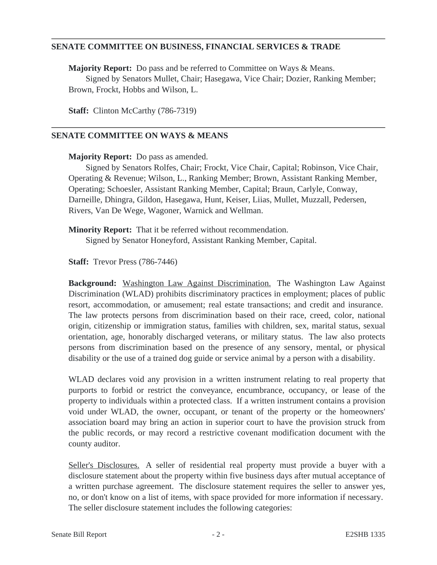#### **SENATE COMMITTEE ON BUSINESS, FINANCIAL SERVICES & TRADE**

**Majority Report:** Do pass and be referred to Committee on Ways & Means. Signed by Senators Mullet, Chair; Hasegawa, Vice Chair; Dozier, Ranking Member; Brown, Frockt, Hobbs and Wilson, L.

**Staff:** Clinton McCarthy (786-7319)

#### **SENATE COMMITTEE ON WAYS & MEANS**

**Majority Report:** Do pass as amended.

Signed by Senators Rolfes, Chair; Frockt, Vice Chair, Capital; Robinson, Vice Chair, Operating & Revenue; Wilson, L., Ranking Member; Brown, Assistant Ranking Member, Operating; Schoesler, Assistant Ranking Member, Capital; Braun, Carlyle, Conway, Darneille, Dhingra, Gildon, Hasegawa, Hunt, Keiser, Liias, Mullet, Muzzall, Pedersen, Rivers, Van De Wege, Wagoner, Warnick and Wellman.

**Minority Report:** That it be referred without recommendation. Signed by Senator Honeyford, Assistant Ranking Member, Capital.

**Staff:** Trevor Press (786-7446)

**Background:** Washington Law Against Discrimination. The Washington Law Against Discrimination (WLAD) prohibits discriminatory practices in employment; places of public resort, accommodation, or amusement; real estate transactions; and credit and insurance. The law protects persons from discrimination based on their race, creed, color, national origin, citizenship or immigration status, families with children, sex, marital status, sexual orientation, age, honorably discharged veterans, or military status. The law also protects persons from discrimination based on the presence of any sensory, mental, or physical disability or the use of a trained dog guide or service animal by a person with a disability.

WLAD declares void any provision in a written instrument relating to real property that purports to forbid or restrict the conveyance, encumbrance, occupancy, or lease of the property to individuals within a protected class. If a written instrument contains a provision void under WLAD, the owner, occupant, or tenant of the property or the homeowners' association board may bring an action in superior court to have the provision struck from the public records, or may record a restrictive covenant modification document with the county auditor.

Seller's Disclosures. A seller of residential real property must provide a buyer with a disclosure statement about the property within five business days after mutual acceptance of a written purchase agreement. The disclosure statement requires the seller to answer yes, no, or don't know on a list of items, with space provided for more information if necessary. The seller disclosure statement includes the following categories: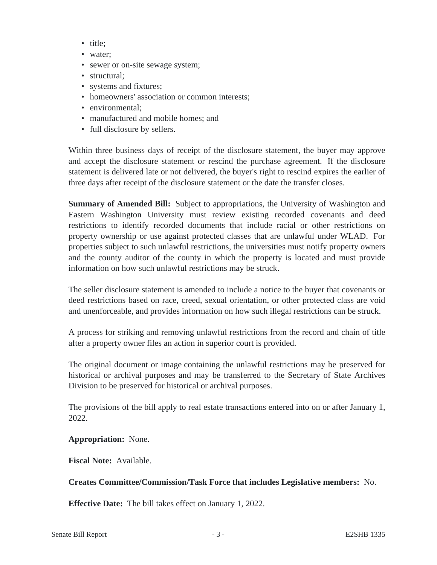- title:
- water;
- sewer or on-site sewage system;
- structural:
- systems and fixtures;
- homeowners' association or common interests;
- environmental;
- manufactured and mobile homes; and
- full disclosure by sellers.

Within three business days of receipt of the disclosure statement, the buyer may approve and accept the disclosure statement or rescind the purchase agreement. If the disclosure statement is delivered late or not delivered, the buyer's right to rescind expires the earlier of three days after receipt of the disclosure statement or the date the transfer closes.

**Summary of Amended Bill:** Subject to appropriations, the University of Washington and Eastern Washington University must review existing recorded covenants and deed restrictions to identify recorded documents that include racial or other restrictions on property ownership or use against protected classes that are unlawful under WLAD. For properties subject to such unlawful restrictions, the universities must notify property owners and the county auditor of the county in which the property is located and must provide information on how such unlawful restrictions may be struck.

The seller disclosure statement is amended to include a notice to the buyer that covenants or deed restrictions based on race, creed, sexual orientation, or other protected class are void and unenforceable, and provides information on how such illegal restrictions can be struck.

A process for striking and removing unlawful restrictions from the record and chain of title after a property owner files an action in superior court is provided.

The original document or image containing the unlawful restrictions may be preserved for historical or archival purposes and may be transferred to the Secretary of State Archives Division to be preserved for historical or archival purposes.

The provisions of the bill apply to real estate transactions entered into on or after January 1, 2022.

#### **Appropriation:** None.

**Fiscal Note:** Available.

#### **Creates Committee/Commission/Task Force that includes Legislative members:** No.

**Effective Date:** The bill takes effect on January 1, 2022.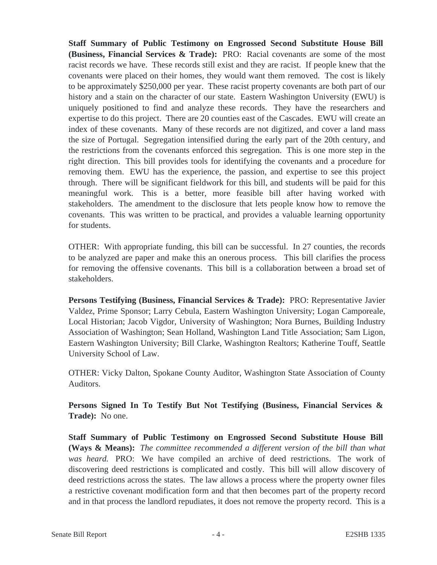**Staff Summary of Public Testimony on Engrossed Second Substitute House Bill (Business, Financial Services & Trade):** PRO: Racial covenants are some of the most racist records we have. These records still exist and they are racist. If people knew that the covenants were placed on their homes, they would want them removed. The cost is likely to be approximately \$250,000 per year. These racist property covenants are both part of our history and a stain on the character of our state. Eastern Washington University (EWU) is uniquely positioned to find and analyze these records. They have the researchers and expertise to do this project. There are 20 counties east of the Cascades. EWU will create an index of these covenants. Many of these records are not digitized, and cover a land mass the size of Portugal. Segregation intensified during the early part of the 20th century, and the restrictions from the covenants enforced this segregation. This is one more step in the right direction. This bill provides tools for identifying the covenants and a procedure for removing them. EWU has the experience, the passion, and expertise to see this project through. There will be significant fieldwork for this bill, and students will be paid for this meaningful work. This is a better, more feasible bill after having worked with stakeholders. The amendment to the disclosure that lets people know how to remove the covenants. This was written to be practical, and provides a valuable learning opportunity for students.

OTHER: With appropriate funding, this bill can be successful. In 27 counties, the records to be analyzed are paper and make this an onerous process. This bill clarifies the process for removing the offensive covenants. This bill is a collaboration between a broad set of stakeholders.

**Persons Testifying (Business, Financial Services & Trade):** PRO: Representative Javier Valdez, Prime Sponsor; Larry Cebula, Eastern Washington University; Logan Camporeale, Local Historian; Jacob Vigdor, University of Washington; Nora Burnes, Building Industry Association of Washington; Sean Holland, Washington Land Title Association; Sam Ligon, Eastern Washington University; Bill Clarke, Washington Realtors; Katherine Touff, Seattle University School of Law.

OTHER: Vicky Dalton, Spokane County Auditor, Washington State Association of County Auditors.

**Persons Signed In To Testify But Not Testifying (Business, Financial Services & Trade):** No one.

**Staff Summary of Public Testimony on Engrossed Second Substitute House Bill (Ways & Means):** *The committee recommended a different version of the bill than what was heard.* PRO: We have compiled an archive of deed restrictions. The work of discovering deed restrictions is complicated and costly. This bill will allow discovery of deed restrictions across the states. The law allows a process where the property owner files a restrictive covenant modification form and that then becomes part of the property record and in that process the landlord repudiates, it does not remove the property record. This is a